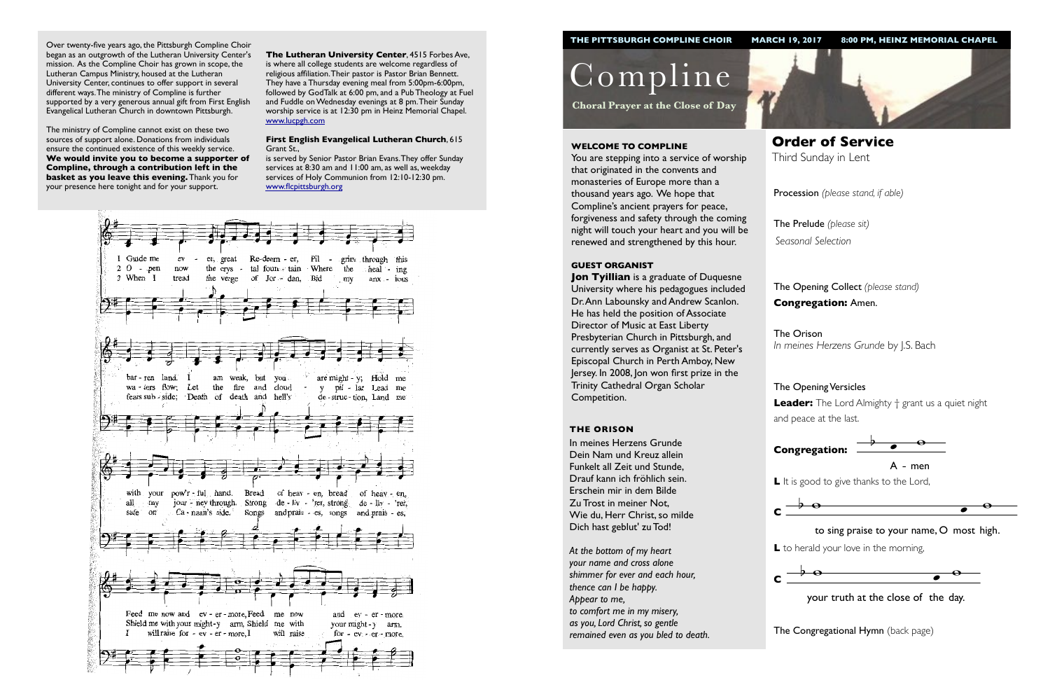Procession *(please stand, if able)*

The Opening Collect *(please stand)* **Congregation:** Amen.

# The Opening Versicles

**L** to herald your love in the morning,  $\ddot{\phantom{0}}$ 



 $\frac{1}{2}$  your truth at the close of the day.

**The Congregational Hymn** (back page)

**Leader:** The Lord Almighty † grant us a quiet night and peace at the last.



Compline

**Choral Prayer at the Close of Day**

**Order of Service**  Third Sunday in Lent

#### **WELCOME TO COMPLINE**

**Jon Tyillian** is a graduate of Duquesne University where his pedagogues included Dr. Ann Labounsky and Andrew Scanlon. He has held the position of Associate Director of Music at East Liberty Presbyterian Church in Pittsburgh, and currently serves as Organist at St. Peter's Episcopal Church in Perth Amboy, New Jersey. In 2008, Jon won first prize in the Trinity Cathedral Organ Scholar Competition.

You are stepping into a service of worship that originated in the convents and monasteries of Europe more than a thousand years ago. We hope that Compline's ancient prayers for peace, forgiveness and safety through the coming night will touch your heart and you will be renewed and strengthened by this hour.

The Prelude *(please sit) Seasonal Selection*

The Orison *In meines Herzens Grunde* by J.S. Bach

#### **GUEST ORGANIST**



#### **THE ORISON**

In meines Herzens Grunde Dein Nam und Kreuz allein Funkelt all Zeit und Stunde, Drauf kann ich fröhlich sein. Erschein mir in dem Bilde Zu Trost in meiner Not, Wie du, Herr Christ, so milde Dich hast geblut' zu Tod!



*At the bottom of my heart your name and cross alone shimmer for ever and each hour, thence can I be happy. Appear to me, to comfort me in my misery, as you, Lord Christ, so gentle remained even as you bled to death.*

Over twenty-five years ago, the Pittsburgh Compline Choir began as an outgrowth of the Lutheran University Center's mission. As the Compline Choir has grown in scope, the Lutheran Campus Ministry, housed at the Lutheran University Center, continues to offer support in several different ways. The ministry of Compline is further supported by a very generous annual gift from First English Evangelical Lutheran Church in downtown Pittsburgh.

The ministry of Compline cannot exist on these two sources of support alone. Donations from individuals ensure the continued existence of this weekly service. **We would invite you to become a supporter of Compline, through a contribution left in the basket as you leave this evening.** Thank you for your presence here tonight and for your support.



L It is good to give thanks to the Lord,



**The Lutheran University Center**, 4515 Forbes Ave, is where all college students are welcome regardless of religious affiliation. Their pastor is Pastor Brian Bennett. They have a Thursday evening meal from 5:00pm-6:00pm, followed by GodTalk at 6:00 pm, and a Pub Theology at Fuel and Fuddle on Wednesday evenings at 8 pm. Their Sunday worship service is at 12:30 pm in Heinz Memorial Chapel. [www.lucpgh.com](http://www.lucpgh.com)

#### **First English Evangelical Lutheran Church**, 615 Grant St.,

is served by Senior Pastor Brian Evans. They offer Sunday services at 8:30 am and 11:00 am, as well as, weekday services of Holy Communion from 12:10-12:30 pm. [www.flcpittsburgh.org](http://www.flcpittsburgh.org)